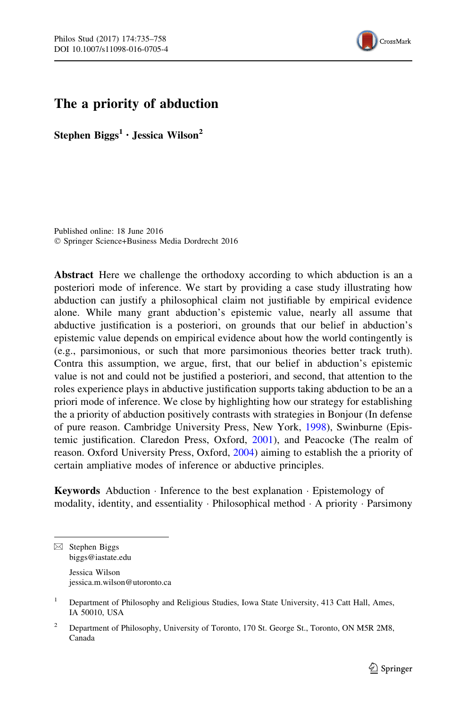

# The a priority of abduction

Stephen Biggs<sup>1</sup> • Jessica Wilson<sup>2</sup>

Published online: 18 June 2016 - Springer Science+Business Media Dordrecht 2016

Abstract Here we challenge the orthodoxy according to which abduction is an a posteriori mode of inference. We start by providing a case study illustrating how abduction can justify a philosophical claim not justifiable by empirical evidence alone. While many grant abduction's epistemic value, nearly all assume that abductive justification is a posteriori, on grounds that our belief in abduction's epistemic value depends on empirical evidence about how the world contingently is (e.g., parsimonious, or such that more parsimonious theories better track truth). Contra this assumption, we argue, first, that our belief in abduction's epistemic value is not and could not be justified a posteriori, and second, that attention to the roles experience plays in abductive justification supports taking abduction to be an a priori mode of inference. We close by highlighting how our strategy for establishing the a priority of abduction positively contrasts with strategies in Bonjour (In defense of pure reason. Cambridge University Press, New York, [1998](#page-21-0)), Swinburne (Epistemic justification. Claredon Press, Oxford, [2001](#page-23-0)), and Peacocke (The realm of reason. Oxford University Press, Oxford, [2004](#page-22-0)) aiming to establish the a priority of certain ampliative modes of inference or abductive principles.

Keywords Abduction · Inference to the best explanation · Epistemology of modality, identity, and essentiality · Philosophical method · A priority · Parsimony

 $\boxtimes$  Stephen Biggs biggs@iastate.edu

> Jessica Wilson jessica.m.wilson@utoronto.ca

<sup>1</sup> Department of Philosophy and Religious Studies, Iowa State University, 413 Catt Hall, Ames, IA 50010, USA

<sup>&</sup>lt;sup>2</sup> Department of Philosophy, University of Toronto, 170 St. George St., Toronto, ON M5R 2M8, Canada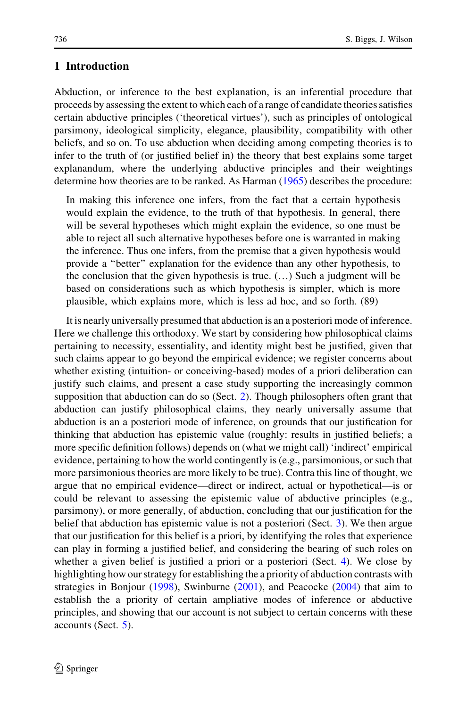### 1 Introduction

Abduction, or inference to the best explanation, is an inferential procedure that proceeds by assessing the extent to which each of a range of candidate theories satisfies certain abductive principles ('theoretical virtues'), such as principles of ontological parsimony, ideological simplicity, elegance, plausibility, compatibility with other beliefs, and so on. To use abduction when deciding among competing theories is to infer to the truth of (or justified belief in) the theory that best explains some target explanandum, where the underlying abductive principles and their weightings determine how theories are to be ranked. As Harman ([1965\)](#page-22-0) describes the procedure:

In making this inference one infers, from the fact that a certain hypothesis would explain the evidence, to the truth of that hypothesis. In general, there will be several hypotheses which might explain the evidence, so one must be able to reject all such alternative hypotheses before one is warranted in making the inference. Thus one infers, from the premise that a given hypothesis would provide a ''better'' explanation for the evidence than any other hypothesis, to the conclusion that the given hypothesis is true. (…) Such a judgment will be based on considerations such as which hypothesis is simpler, which is more plausible, which explains more, which is less ad hoc, and so forth. (89)

It is nearly universally presumed that abduction is an a posteriori mode of inference. Here we challenge this orthodoxy. We start by considering how philosophical claims pertaining to necessity, essentiality, and identity might best be justified, given that such claims appear to go beyond the empirical evidence; we register concerns about whether existing (intuition- or conceiving-based) modes of a priori deliberation can justify such claims, and present a case study supporting the increasingly common supposition that abduction can do so (Sect. [2](#page-2-0)). Though philosophers often grant that abduction can justify philosophical claims, they nearly universally assume that abduction is an a posteriori mode of inference, on grounds that our justification for thinking that abduction has epistemic value (roughly: results in justified beliefs; a more specific definition follows) depends on (what we might call) 'indirect' empirical evidence, pertaining to how the world contingently is (e.g., parsimonious, or such that more parsimonious theories are more likely to be true). Contra this line of thought, we argue that no empirical evidence—direct or indirect, actual or hypothetical—is or could be relevant to assessing the epistemic value of abductive principles (e.g., parsimony), or more generally, of abduction, concluding that our justification for the belief that abduction has epistemic value is not a posteriori (Sect. [3](#page-6-0)). We then argue that our justification for this belief is a priori, by identifying the roles that experience can play in forming a justified belief, and considering the bearing of such roles on whether a given belief is justified a priori or a posteriori (Sect. [4\)](#page-13-0). We close by highlighting how our strategy for establishing the a priority of abduction contrasts with strategies in Bonjour ([1998\)](#page-21-0), Swinburne  $(2001)$  $(2001)$  $(2001)$ , and Peacocke  $(2004)$  $(2004)$  that aim to establish the a priority of certain ampliative modes of inference or abductive principles, and showing that our account is not subject to certain concerns with these accounts (Sect. [5\)](#page-16-0).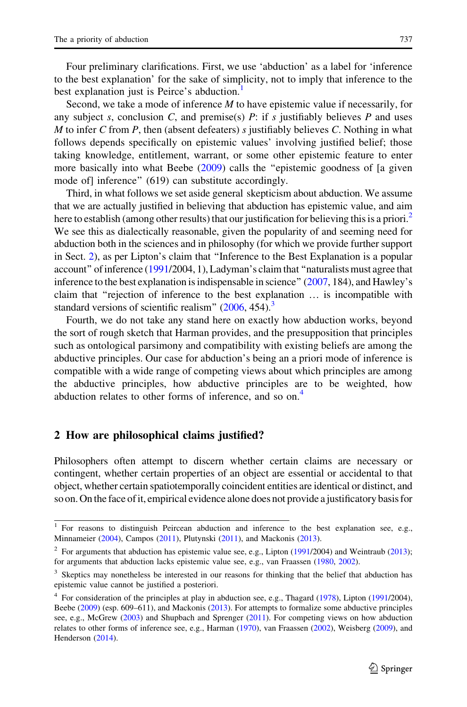<span id="page-2-0"></span>Four preliminary clarifications. First, we use 'abduction' as a label for 'inference to the best explanation' for the sake of simplicity, not to imply that inference to the best explanation just is Peirce's abduction.<sup>1</sup>

Second, we take a mode of inference  $M$  to have epistemic value if necessarily, for any subject s, conclusion C, and premise(s)  $P$ : if s justifiably believes  $P$  and uses M to infer C from P, then (absent defeaters) s justifiably believes C. Nothing in what follows depends specifically on epistemic values' involving justified belief; those taking knowledge, entitlement, warrant, or some other epistemic feature to enter more basically into what Beebe [\(2009](#page-21-0)) calls the "epistemic goodness of [a given mode of] inference'' (619) can substitute accordingly.

Third, in what follows we set aside general skepticism about abduction. We assume that we are actually justified in believing that abduction has epistemic value, and aim here to establish (among other results) that our justification for believing this is a priori.<sup>2</sup> We see this as dialectically reasonable, given the popularity of and seeming need for abduction both in the sciences and in philosophy (for which we provide further support in Sect. 2), as per Lipton's claim that ''Inference to the Best Explanation is a popular account'' ofinference [\(1991](#page-22-0)/2004, 1), Ladyman's claim that ''naturalists must agree that inference to the best explanation is indispensable in science"  $(2007, 184)$  $(2007, 184)$ , and Hawley's claim that ''rejection of inference to the best explanation … is incompatible with standard versions of scientific realism"  $(2006, 454)$  $(2006, 454)$ .<sup>3</sup>

Fourth, we do not take any stand here on exactly how abduction works, beyond the sort of rough sketch that Harman provides, and the presupposition that principles such as ontological parsimony and compatibility with existing beliefs are among the abductive principles. Our case for abduction's being an a priori mode of inference is compatible with a wide range of competing views about which principles are among the abductive principles, how abductive principles are to be weighted, how abduction relates to other forms of inference, and so on.<sup>4</sup>

### 2 How are philosophical claims justified?

Philosophers often attempt to discern whether certain claims are necessary or contingent, whether certain properties of an object are essential or accidental to that object, whether certain spatiotemporally coincident entities are identical or distinct, and so on. On the face ofit, empirical evidence alone does not provide ajustificatory basis for

<sup>&</sup>lt;sup>1</sup> For reasons to distinguish Peircean abduction and inference to the best explanation see, e.g., Minnameier [\(2004](#page-22-0)), Campos ([2011\)](#page-21-0), Plutynski [\(2011](#page-22-0)), and Mackonis [\(2013](#page-22-0)).

<sup>&</sup>lt;sup>2</sup> For arguments that abduction has epistemic value see, e.g., Lipton [\(1991](#page-22-0)/2004) and Weintraub ([2013](#page-23-0)); for arguments that abduction lacks epistemic value see, e.g., van Fraassen [\(1980](#page-23-0), [2002\)](#page-23-0).

<sup>&</sup>lt;sup>3</sup> Skeptics may nonetheless be interested in our reasons for thinking that the belief that abduction has epistemic value cannot be justified a posteriori.

 $4\,$  For consideration of the principles at play in abduction see, e.g., Thagard [\(1978](#page-23-0)), Lipton ([1991/](#page-22-0)2004), Beebe ([2009\)](#page-21-0) (esp. 609–611), and Mackonis [\(2013](#page-22-0)). For attempts to formalize some abductive principles see, e.g., McGrew [\(2003\)](#page-22-0) and Shupbach and Sprenger ([2011](#page-22-0)). For competing views on how abduction relates to other forms of inference see, e.g., Harman [\(1970](#page-22-0)), van Fraassen [\(2002](#page-23-0)), Weisberg ([2009\)](#page-23-0), and Henderson ([2014\)](#page-22-0).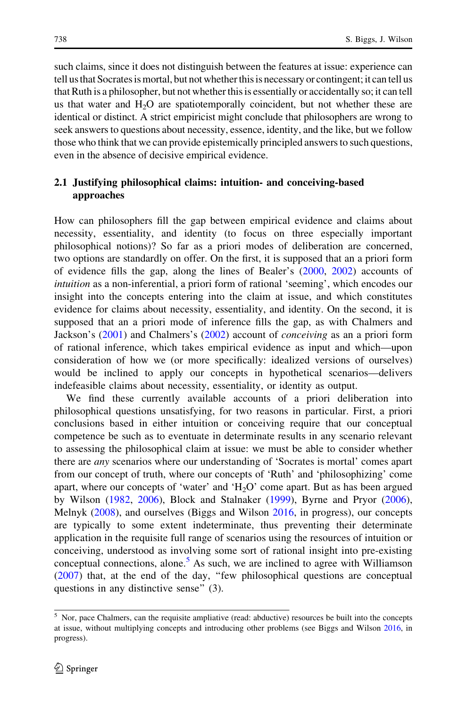such claims, since it does not distinguish between the features at issue: experience can tell us that Socrates is mortal, but not whether this is necessary or contingent; it can tell us that Ruth is a philosopher, but not whether this is essentially or accidentally so; it can tell us that water and  $H_2O$  are spatiotemporally coincident, but not whether these are identical or distinct. A strict empiricist might conclude that philosophers are wrong to seek answers to questions about necessity, essence, identity, and the like, but we follow those who think that we can provide epistemically principled answers to such questions, even in the absence of decisive empirical evidence.

# 2.1 Justifying philosophical claims: intuition- and conceiving-based approaches

How can philosophers fill the gap between empirical evidence and claims about necessity, essentiality, and identity (to focus on three especially important philosophical notions)? So far as a priori modes of deliberation are concerned, two options are standardly on offer. On the first, it is supposed that an a priori form of evidence fills the gap, along the lines of Bealer's [\(2000](#page-21-0), [2002](#page-21-0)) accounts of intuition as a non-inferential, a priori form of rational 'seeming', which encodes our insight into the concepts entering into the claim at issue, and which constitutes evidence for claims about necessity, essentiality, and identity. On the second, it is supposed that an a priori mode of inference fills the gap, as with Chalmers and Jackson's [\(2001](#page-21-0)) and Chalmers's ([2002](#page-21-0)) account of conceiving as an a priori form of rational inference, which takes empirical evidence as input and which—upon consideration of how we (or more specifically: idealized versions of ourselves) would be inclined to apply our concepts in hypothetical scenarios—delivers indefeasible claims about necessity, essentiality, or identity as output.

We find these currently available accounts of a priori deliberation into philosophical questions unsatisfying, for two reasons in particular. First, a priori conclusions based in either intuition or conceiving require that our conceptual competence be such as to eventuate in determinate results in any scenario relevant to assessing the philosophical claim at issue: we must be able to consider whether there are any scenarios where our understanding of 'Socrates is mortal' comes apart from our concept of truth, where our concepts of 'Ruth' and 'philosophizing' come apart, where our concepts of 'water' and  $H<sub>2</sub>O'$  come apart. But as has been argued by Wilson ([1982,](#page-23-0) [2006\)](#page-23-0), Block and Stalnaker ([1999\)](#page-21-0), Byrne and Pryor ([2006\)](#page-21-0), Melnyk ([2008\)](#page-22-0), and ourselves (Biggs and Wilson [2016,](#page-21-0) in progress), our concepts are typically to some extent indeterminate, thus preventing their determinate application in the requisite full range of scenarios using the resources of intuition or conceiving, understood as involving some sort of rational insight into pre-existing conceptual connections, alone. $\overline{S}$  As such, we are inclined to agree with Williamson [\(2007](#page-23-0)) that, at the end of the day, ''few philosophical questions are conceptual questions in any distinctive sense'' (3).

<sup>5</sup> Nor, pace Chalmers, can the requisite ampliative (read: abductive) resources be built into the concepts at issue, without multiplying concepts and introducing other problems (see Biggs and Wilson [2016](#page-21-0), in progress).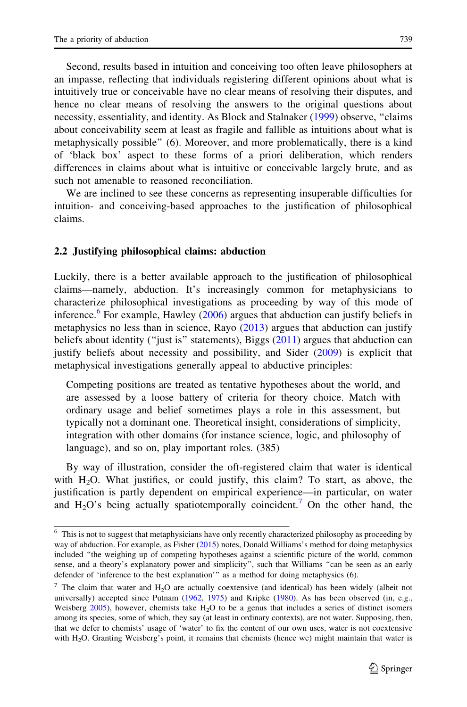Second, results based in intuition and conceiving too often leave philosophers at an impasse, reflecting that individuals registering different opinions about what is intuitively true or conceivable have no clear means of resolving their disputes, and hence no clear means of resolving the answers to the original questions about necessity, essentiality, and identity. As Block and Stalnaker ([1999\)](#page-21-0) observe, ''claims about conceivability seem at least as fragile and fallible as intuitions about what is metaphysically possible'' (6). Moreover, and more problematically, there is a kind of 'black box' aspect to these forms of a priori deliberation, which renders differences in claims about what is intuitive or conceivable largely brute, and as such not amenable to reasoned reconciliation.

We are inclined to see these concerns as representing insuperable difficulties for intuition- and conceiving-based approaches to the justification of philosophical claims.

#### 2.2 Justifying philosophical claims: abduction

Luckily, there is a better available approach to the justification of philosophical claims—namely, abduction. It's increasingly common for metaphysicians to characterize philosophical investigations as proceeding by way of this mode of inference.<sup>6</sup> For example, Hawley  $(2006)$  $(2006)$  argues that abduction can justify beliefs in metaphysics no less than in science, Rayo [\(2013](#page-22-0)) argues that abduction can justify beliefs about identity ("just is" statements), Biggs  $(2011)$  $(2011)$  argues that abduction can justify beliefs about necessity and possibility, and Sider ([2009\)](#page-23-0) is explicit that metaphysical investigations generally appeal to abductive principles:

Competing positions are treated as tentative hypotheses about the world, and are assessed by a loose battery of criteria for theory choice. Match with ordinary usage and belief sometimes plays a role in this assessment, but typically not a dominant one. Theoretical insight, considerations of simplicity, integration with other domains (for instance science, logic, and philosophy of language), and so on, play important roles. (385)

By way of illustration, consider the oft-registered claim that water is identical with  $H_2O$ . What justifies, or could justify, this claim? To start, as above, the justification is partly dependent on empirical experience—in particular, on water and  $H_2O$ 's being actually spatiotemporally coincident.<sup>7</sup> On the other hand, the

<sup>6</sup> This is not to suggest that metaphysicians have only recently characterized philosophy as proceeding by way of abduction. For example, as Fisher ([2015\)](#page-22-0) notes, Donald Williams's method for doing metaphysics included ''the weighing up of competing hypotheses against a scientific picture of the world, common sense, and a theory's explanatory power and simplicity'', such that Williams ''can be seen as an early defender of 'inference to the best explanation''' as a method for doing metaphysics (6).

<sup>&</sup>lt;sup>7</sup> The claim that water and  $H_2O$  are actually coextensive (and identical) has been widely (albeit not universally) accepted since Putnam ([1962,](#page-22-0) [1975](#page-22-0)) and Kripke [\(1980\)](#page-22-0). As has been observed (in, e.g., Weisberg  $2005$ ), however, chemists take H<sub>2</sub>O to be a genus that includes a series of distinct isomers among its species, some of which, they say (at least in ordinary contexts), are not water. Supposing, then, that we defer to chemists' usage of 'water' to fix the content of our own uses, water is not coextensive with H<sub>2</sub>O. Granting Weisberg's point, it remains that chemists (hence we) might maintain that water is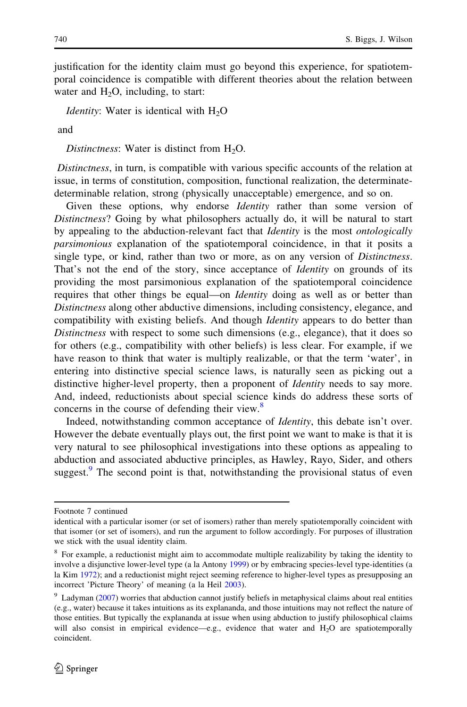justification for the identity claim must go beyond this experience, for spatiotemporal coincidence is compatible with different theories about the relation between water and  $H_2O$ , including, to start:

*Identity:* Water is identical with  $H_2O$ 

and

Distinctness: Water is distinct from  $H_2O$ .

Distinctness, in turn, is compatible with various specific accounts of the relation at issue, in terms of constitution, composition, functional realization, the determinatedeterminable relation, strong (physically unacceptable) emergence, and so on.

Given these options, why endorse *Identity* rather than some version of Distinctness? Going by what philosophers actually do, it will be natural to start by appealing to the abduction-relevant fact that *Identity* is the most *ontologically* parsimonious explanation of the spatiotemporal coincidence, in that it posits a single type, or kind, rather than two or more, as on any version of *Distinctness*. That's not the end of the story, since acceptance of Identity on grounds of its providing the most parsimonious explanation of the spatiotemporal coincidence requires that other things be equal—on Identity doing as well as or better than Distinctness along other abductive dimensions, including consistency, elegance, and compatibility with existing beliefs. And though *Identity* appears to do better than Distinctness with respect to some such dimensions (e.g., elegance), that it does so for others (e.g., compatibility with other beliefs) is less clear. For example, if we have reason to think that water is multiply realizable, or that the term 'water', in entering into distinctive special science laws, is naturally seen as picking out a distinctive higher-level property, then a proponent of *Identity* needs to say more. And, indeed, reductionists about special science kinds do address these sorts of concerns in the course of defending their view.<sup>8</sup>

Indeed, notwithstanding common acceptance of *Identity*, this debate isn't over. However the debate eventually plays out, the first point we want to make is that it is very natural to see philosophical investigations into these options as appealing to abduction and associated abductive principles, as Hawley, Rayo, Sider, and others suggest.<sup>9</sup> The second point is that, notwithstanding the provisional status of even

Footnote 7 continued

identical with a particular isomer (or set of isomers) rather than merely spatiotemporally coincident with that isomer (or set of isomers), and run the argument to follow accordingly. For purposes of illustration we stick with the usual identity claim.

<sup>&</sup>lt;sup>8</sup> For example, a reductionist might aim to accommodate multiple realizability by taking the identity to involve a disjunctive lower-level type (a la Antony [1999\)](#page-21-0) or by embracing species-level type-identities (a la Kim [1972](#page-22-0)); and a reductionist might reject seeming reference to higher-level types as presupposing an incorrect 'Picture Theory' of meaning (a la Heil [2003](#page-22-0)).

<sup>&</sup>lt;sup>9</sup> Ladyman ([2007\)](#page-22-0) worries that abduction cannot justify beliefs in metaphysical claims about real entities (e.g., water) because it takes intuitions as its explananda, and those intuitions may not reflect the nature of those entities. But typically the explananda at issue when using abduction to justify philosophical claims will also consist in empirical evidence—e.g., evidence that water and  $H_2O$  are spatiotemporally coincident.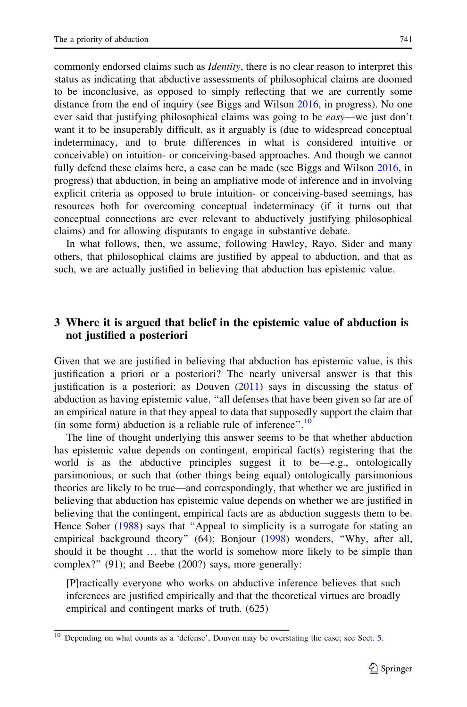<span id="page-6-0"></span>commonly endorsed claims such as *Identity*, there is no clear reason to interpret this status as indicating that abductive assessments of philosophical claims are doomed to be inconclusive, as opposed to simply reflecting that we are currently some distance from the end of inquiry (see Biggs and Wilson [2016,](#page-21-0) in progress). No one ever said that justifying philosophical claims was going to be easy—we just don't want it to be insuperably difficult, as it arguably is (due to widespread conceptual indeterminacy, and to brute differences in what is considered intuitive or conceivable) on intuition- or conceiving-based approaches. And though we cannot fully defend these claims here, a case can be made (see Biggs and Wilson [2016](#page-21-0), in progress) that abduction, in being an ampliative mode of inference and in involving explicit criteria as opposed to brute intuition- or conceiving-based seemings, has resources both for overcoming conceptual indeterminacy (if it turns out that conceptual connections are ever relevant to abductively justifying philosophical claims) and for allowing disputants to engage in substantive debate.

In what follows, then, we assume, following Hawley, Rayo, Sider and many others, that philosophical claims are justified by appeal to abduction, and that as such, we are actually justified in believing that abduction has epistemic value.

# 3 Where it is argued that belief in the epistemic value of abduction is not justified a posteriori

Given that we are justified in believing that abduction has epistemic value, is this justification a priori or a posteriori? The nearly universal answer is that this justification is a posteriori: as Douven  $(2011)$  $(2011)$  $(2011)$  says in discussing the status of abduction as having epistemic value, ''all defenses that have been given so far are of an empirical nature in that they appeal to data that supposedly support the claim that (in some form) abduction is a reliable rule of inference". $^{10}$ 

The line of thought underlying this answer seems to be that whether abduction has epistemic value depends on contingent, empirical fact(s) registering that the world is as the abductive principles suggest it to be—e.g., ontologically parsimonious, or such that (other things being equal) ontologically parsimonious theories are likely to be true—and correspondingly, that whether we are justified in believing that abduction has epistemic value depends on whether we are justified in believing that the contingent, empirical facts are as abduction suggests them to be. Hence Sober [\(1988](#page-23-0)) says that "Appeal to simplicity is a surrogate for stating an empirical background theory" (64); Bonjour [\(1998](#page-21-0)) wonders, "Why, after all, should it be thought … that the world is somehow more likely to be simple than complex?'' (91); and Beebe (200?) says, more generally:

[P]ractically everyone who works on abductive inference believes that such inferences are justified empirically and that the theoretical virtues are broadly empirical and contingent marks of truth. (625)

<sup>10</sup> Depending on what counts as a 'defense', Douven may be overstating the case; see Sect. [5](#page-16-0).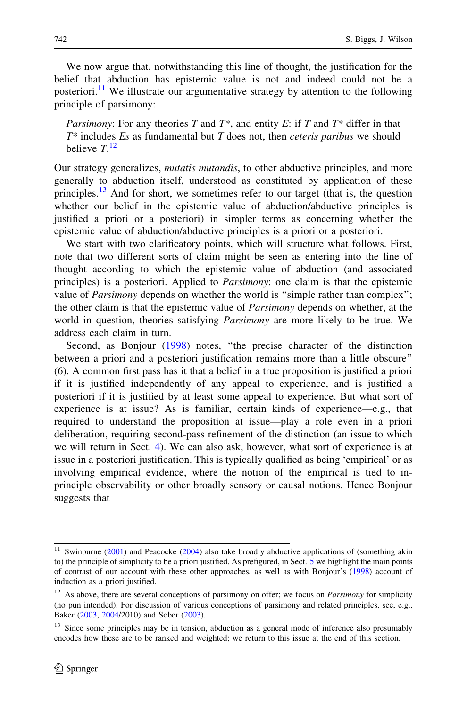We now argue that, notwithstanding this line of thought, the justification for the belief that abduction has epistemic value is not and indeed could not be a posteriori.<sup>11</sup> We illustrate our argumentative strategy by attention to the following principle of parsimony:

*Parsimony*: For any theories T and  $T^*$ , and entity E: if T and  $T^*$  differ in that  $T^*$  includes Es as fundamental but T does not, then *ceteris paribus* we should believe  $T<sup>12</sup>$ 

Our strategy generalizes, mutatis mutandis, to other abductive principles, and more generally to abduction itself, understood as constituted by application of these principles.<sup>13</sup> And for short, we sometimes refer to our target (that is, the question whether our belief in the epistemic value of abduction/abductive principles is justified a priori or a posteriori) in simpler terms as concerning whether the epistemic value of abduction/abductive principles is a priori or a posteriori.

We start with two clarificatory points, which will structure what follows. First, note that two different sorts of claim might be seen as entering into the line of thought according to which the epistemic value of abduction (and associated principles) is a posteriori. Applied to Parsimony: one claim is that the epistemic value of *Parsimony* depends on whether the world is "simple rather than complex"; the other claim is that the epistemic value of Parsimony depends on whether, at the world in question, theories satisfying *Parsimony* are more likely to be true. We address each claim in turn.

Second, as Bonjour ([1998\)](#page-21-0) notes, ''the precise character of the distinction between a priori and a posteriori justification remains more than a little obscure'' (6). A common first pass has it that a belief in a true proposition is justified a priori if it is justified independently of any appeal to experience, and is justified a posteriori if it is justified by at least some appeal to experience. But what sort of experience is at issue? As is familiar, certain kinds of experience—e.g., that required to understand the proposition at issue—play a role even in a priori deliberation, requiring second-pass refinement of the distinction (an issue to which we will return in Sect. [4\)](#page-13-0). We can also ask, however, what sort of experience is at issue in a posteriori justification. This is typically qualified as being 'empirical' or as involving empirical evidence, where the notion of the empirical is tied to inprinciple observability or other broadly sensory or causal notions. Hence Bonjour suggests that

 $\frac{11}{11}$  Swinburne ([2001\)](#page-23-0) and Peacocke ([2004\)](#page-22-0) also take broadly abductive applications of (something akin to) the principle of simplicity to be a priori justified. As prefigured, in Sect. [5](#page-16-0) we highlight the main points of contrast of our account with these other approaches, as well as with Bonjour's ([1998\)](#page-21-0) account of induction as a priori justified.

 $12$  As above, there are several conceptions of parsimony on offer; we focus on *Parsimony* for simplicity (no pun intended). For discussion of various conceptions of parsimony and related principles, see, e.g., Baker [\(2003](#page-21-0), [2004/](#page-21-0)2010) and Sober [\(2003](#page-23-0)).

<sup>&</sup>lt;sup>13</sup> Since some principles may be in tension, abduction as a general mode of inference also presumably encodes how these are to be ranked and weighted; we return to this issue at the end of this section.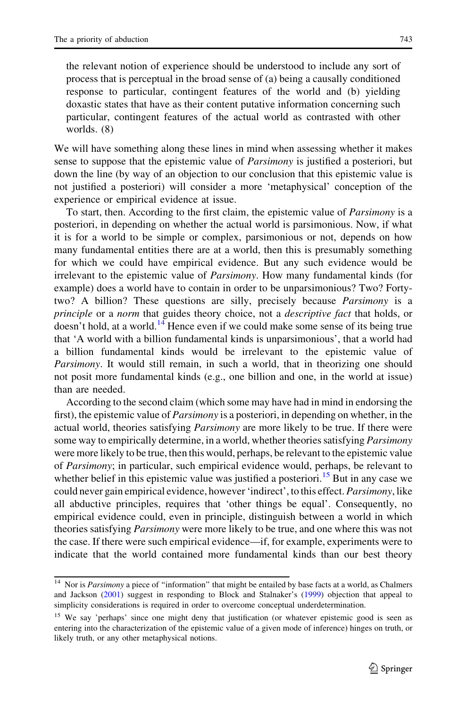the relevant notion of experience should be understood to include any sort of process that is perceptual in the broad sense of (a) being a causally conditioned response to particular, contingent features of the world and (b) yielding doxastic states that have as their content putative information concerning such particular, contingent features of the actual world as contrasted with other worlds. (8)

We will have something along these lines in mind when assessing whether it makes sense to suppose that the epistemic value of *Parsimony* is justified a posteriori, but down the line (by way of an objection to our conclusion that this epistemic value is not justified a posteriori) will consider a more 'metaphysical' conception of the experience or empirical evidence at issue.

To start, then. According to the first claim, the epistemic value of *Parsimony* is a posteriori, in depending on whether the actual world is parsimonious. Now, if what it is for a world to be simple or complex, parsimonious or not, depends on how many fundamental entities there are at a world, then this is presumably something for which we could have empirical evidence. But any such evidence would be irrelevant to the epistemic value of *Parsimony*. How many fundamental kinds (for example) does a world have to contain in order to be unparsimonious? Two? Fortytwo? A billion? These questions are silly, precisely because Parsimony is a principle or a norm that guides theory choice, not a descriptive fact that holds, or doesn't hold, at a world.14 Hence even if we could make some sense of its being true that 'A world with a billion fundamental kinds is unparsimonious', that a world had a billion fundamental kinds would be irrelevant to the epistemic value of Parsimony. It would still remain, in such a world, that in theorizing one should not posit more fundamental kinds (e.g., one billion and one, in the world at issue) than are needed.

According to the second claim (which some may have had in mind in endorsing the first), the epistemic value of *Parsimony* is a posteriori, in depending on whether, in the actual world, theories satisfying *Parsimony* are more likely to be true. If there were some way to empirically determine, in a world, whether theories satisfying *Parsimony* were more likely to be true, then this would, perhaps, be relevant to the epistemic value of Parsimony; in particular, such empirical evidence would, perhaps, be relevant to whether belief in this epistemic value was justified a posteriori.<sup>15</sup> But in any case we could never gain empirical evidence, however 'indirect', to this effect. *Parsimony*, like all abductive principles, requires that 'other things be equal'. Consequently, no empirical evidence could, even in principle, distinguish between a world in which theories satisfying Parsimony were more likely to be true, and one where this was not the case. If there were such empirical evidence—if, for example, experiments were to indicate that the world contained more fundamental kinds than our best theory

 $14$  Nor is *Parsimony* a piece of "information" that might be entailed by base facts at a world, as Chalmers and Jackson ([2001\)](#page-21-0) suggest in responding to Block and Stalnaker's [\(1999](#page-21-0)) objection that appeal to simplicity considerations is required in order to overcome conceptual underdetermination.

<sup>&</sup>lt;sup>15</sup> We say 'perhaps' since one might deny that justification (or whatever epistemic good is seen as entering into the characterization of the epistemic value of a given mode of inference) hinges on truth, or likely truth, or any other metaphysical notions.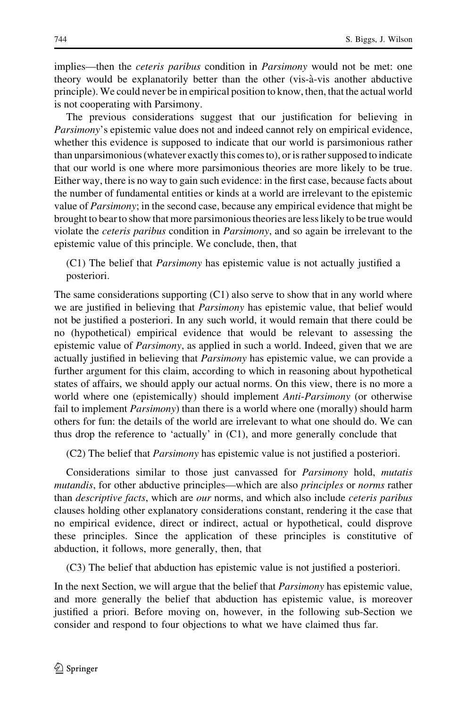implies—then the *ceteris paribus* condition in *Parsimony* would not be met: one theory would be explanatorily better than the other (vis-a`-vis another abductive principle). We could never be in empirical position to know, then, that the actual world is not cooperating with Parsimony.

The previous considerations suggest that our justification for believing in Parsimony's epistemic value does not and indeed cannot rely on empirical evidence, whether this evidence is supposed to indicate that our world is parsimonious rather than unparsimonious (whatever exactly this comes to), or is rather supposed to indicate that our world is one where more parsimonious theories are more likely to be true. Either way, there is no way to gain such evidence: in the first case, because facts about the number of fundamental entities or kinds at a world are irrelevant to the epistemic value of Parsimony; in the second case, because any empirical evidence that might be brought to bear to show that more parsimonious theories are less likely to be true would violate the ceteris paribus condition in Parsimony, and so again be irrelevant to the epistemic value of this principle. We conclude, then, that

(C1) The belief that Parsimony has epistemic value is not actually justified a posteriori.

The same considerations supporting  $(C1)$  also serve to show that in any world where we are justified in believing that *Parsimony* has epistemic value, that belief would not be justified a posteriori. In any such world, it would remain that there could be no (hypothetical) empirical evidence that would be relevant to assessing the epistemic value of *Parsimony*, as applied in such a world. Indeed, given that we are actually justified in believing that Parsimony has epistemic value, we can provide a further argument for this claim, according to which in reasoning about hypothetical states of affairs, we should apply our actual norms. On this view, there is no more a world where one (epistemically) should implement *Anti-Parsimony* (or otherwise fail to implement *Parsimony*) than there is a world where one (morally) should harm others for fun: the details of the world are irrelevant to what one should do. We can thus drop the reference to 'actually' in (C1), and more generally conclude that

(C2) The belief that Parsimony has epistemic value is not justified a posteriori.

Considerations similar to those just canvassed for Parsimony hold, mutatis mutandis, for other abductive principles—which are also *principles* or *norms* rather than *descriptive facts*, which are *our* norms, and which also include *ceteris paribus* clauses holding other explanatory considerations constant, rendering it the case that no empirical evidence, direct or indirect, actual or hypothetical, could disprove these principles. Since the application of these principles is constitutive of abduction, it follows, more generally, then, that

(C3) The belief that abduction has epistemic value is not justified a posteriori.

In the next Section, we will argue that the belief that Parsimony has epistemic value, and more generally the belief that abduction has epistemic value, is moreover justified a priori. Before moving on, however, in the following sub-Section we consider and respond to four objections to what we have claimed thus far.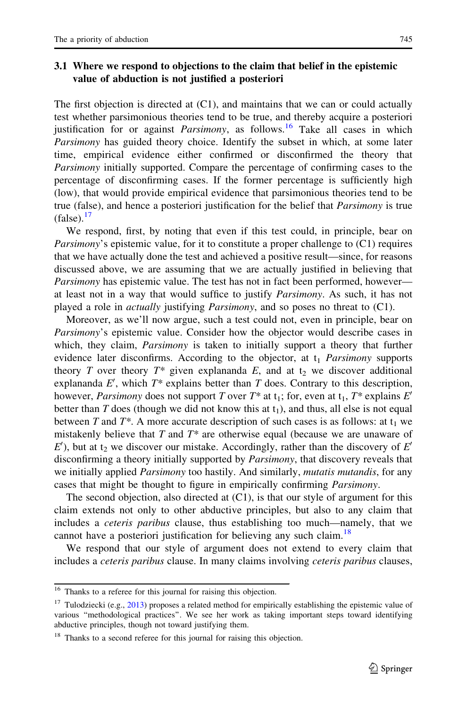# 3.1 Where we respond to objections to the claim that belief in the epistemic value of abduction is not justified a posteriori

The first objection is directed at (C1), and maintains that we can or could actually test whether parsimonious theories tend to be true, and thereby acquire a posteriori justification for or against Parsimony, as follows.<sup>16</sup> Take all cases in which Parsimony has guided theory choice. Identify the subset in which, at some later time, empirical evidence either confirmed or disconfirmed the theory that Parsimony initially supported. Compare the percentage of confirming cases to the percentage of disconfirming cases. If the former percentage is sufficiently high (low), that would provide empirical evidence that parsimonious theories tend to be true (false), and hence a posteriori justification for the belief that Parsimony is true  $(false).<sup>17</sup>$ 

We respond, first, by noting that even if this test could, in principle, bear on *Parsimony's* epistemic value, for it to constitute a proper challenge to (C1) requires that we have actually done the test and achieved a positive result—since, for reasons discussed above, we are assuming that we are actually justified in believing that Parsimony has epistemic value. The test has not in fact been performed, however at least not in a way that would suffice to justify Parsimony. As such, it has not played a role in *actually* justifying *Parsimony*, and so poses no threat to (C1).

Moreover, as we'll now argue, such a test could not, even in principle, bear on Parsimony's epistemic value. Consider how the objector would describe cases in which, they claim, *Parsimony* is taken to initially support a theory that further evidence later disconfirms. According to the objector, at  $t_1$  Parsimony supports theory T over theory  $T^*$  given explananda E, and at  $t_2$  we discover additional explananda  $E'$ , which  $T^*$  explains better than  $T$  does. Contrary to this description, however, Parsimony does not support T over  $T^*$  at  $t_1$ ; for, even at  $t_1$ ,  $T^*$  explains  $E'$ better than T does (though we did not know this at  $t_1$ ), and thus, all else is not equal between T and  $T^*$ . A more accurate description of such cases is as follows: at  $t_1$  we mistakenly believe that  $T$  and  $T^*$  are otherwise equal (because we are unaware of  $E'$ ), but at t<sub>2</sub> we discover our mistake. Accordingly, rather than the discovery of  $E'$ disconfirming a theory initially supported by *Parsimony*, that discovery reveals that we initially applied Parsimony too hastily. And similarly, mutatis mutandis, for any cases that might be thought to figure in empirically confirming Parsimony.

The second objection, also directed at  $(C1)$ , is that our style of argument for this claim extends not only to other abductive principles, but also to any claim that includes a ceteris paribus clause, thus establishing too much—namely, that we cannot have a posteriori justification for believing any such claim.<sup>18</sup>

We respond that our style of argument does not extend to every claim that includes a *ceteris paribus* clause. In many claims involving *ceteris paribus* clauses,

<sup>16</sup> Thanks to a referee for this journal for raising this objection.

 $17$  Tulodziecki (e.g.,  $2013$ ) proposes a related method for empirically establishing the epistemic value of various ''methodological practices''. We see her work as taking important steps toward identifying abductive principles, though not toward justifying them.

<sup>&</sup>lt;sup>18</sup> Thanks to a second referee for this journal for raising this objection.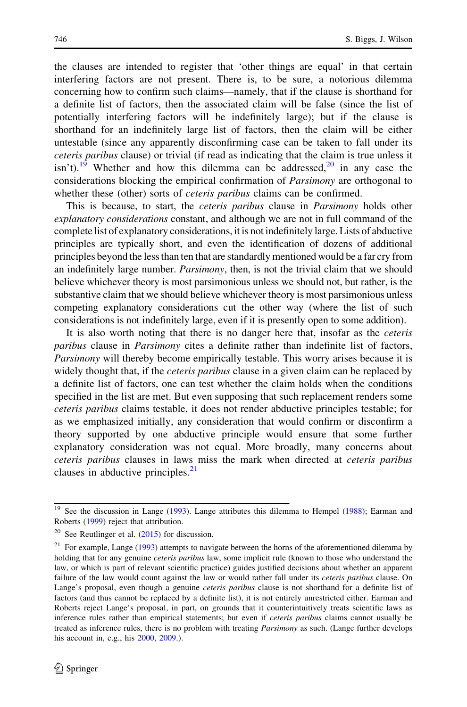the clauses are intended to register that 'other things are equal' in that certain interfering factors are not present. There is, to be sure, a notorious dilemma concerning how to confirm such claims—namely, that if the clause is shorthand for a definite list of factors, then the associated claim will be false (since the list of potentially interfering factors will be indefinitely large); but if the clause is shorthand for an indefinitely large list of factors, then the claim will be either untestable (since any apparently disconfirming case can be taken to fall under its ceteris paribus clause) or trivial (if read as indicating that the claim is true unless it isn't).<sup>19</sup> Whether and how this dilemma can be addressed,<sup>20</sup> in any case the considerations blocking the empirical confirmation of Parsimony are orthogonal to whether these (other) sorts of *ceteris paribus* claims can be confirmed.

This is because, to start, the *ceteris paribus* clause in *Parsimony* holds other explanatory considerations constant, and although we are not in full command of the complete list of explanatory considerations, it is not indefinitely large. Lists of abductive principles are typically short, and even the identification of dozens of additional principles beyond the less than ten that are standardly mentioned would be a far cry from an indefinitely large number. *Parsimony*, then, is not the trivial claim that we should believe whichever theory is most parsimonious unless we should not, but rather, is the substantive claim that we should believe whichever theory is most parsimonious unless competing explanatory considerations cut the other way (where the list of such considerations is not indefinitely large, even if it is presently open to some addition).

It is also worth noting that there is no danger here that, insofar as the ceteris paribus clause in Parsimony cites a definite rather than indefinite list of factors, Parsimony will thereby become empirically testable. This worry arises because it is widely thought that, if the *ceteris paribus* clause in a given claim can be replaced by a definite list of factors, one can test whether the claim holds when the conditions specified in the list are met. But even supposing that such replacement renders some ceteris paribus claims testable, it does not render abductive principles testable; for as we emphasized initially, any consideration that would confirm or disconfirm a theory supported by one abductive principle would ensure that some further explanatory consideration was not equal. More broadly, many concerns about ceteris paribus clauses in laws miss the mark when directed at ceteris paribus clauses in abductive principles. $21$ 

<sup>&</sup>lt;sup>19</sup> See the discussion in Lange ([1993\)](#page-22-0). Lange attributes this dilemma to Hempel [\(1988\)](#page-22-0); Earman and Roberts [\(1999](#page-22-0)) reject that attribution.

 $20$  See Reutlinger et al. [\(2015\)](#page-22-0) for discussion.

 $21$  For example, Lange ([1993\)](#page-22-0) attempts to navigate between the horns of the aforementioned dilemma by holding that for any genuine *ceteris paribus* law, some implicit rule (known to those who understand the law, or which is part of relevant scientific practice) guides justified decisions about whether an apparent failure of the law would count against the law or would rather fall under its *ceteris paribus* clause. On Lange's proposal, even though a genuine ceteris paribus clause is not shorthand for a definite list of factors (and thus cannot be replaced by a definite list), it is not entirely unrestricted either. Earman and Roberts reject Lange's proposal, in part, on grounds that it counterintuitively treats scientific laws as inference rules rather than empirical statements; but even if ceteris paribus claims cannot usually be treated as inference rules, there is no problem with treating *Parsimony* as such. (Lange further develops his account in, e.g., his [2000](#page-22-0), [2009.](#page-22-0)).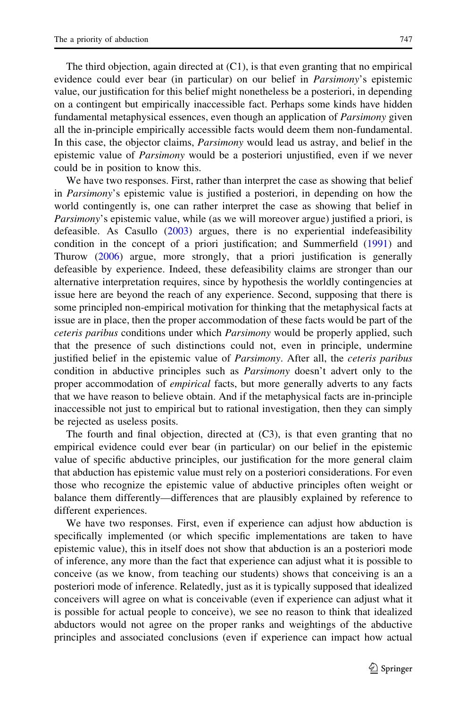The third objection, again directed at (C1), is that even granting that no empirical evidence could ever bear (in particular) on our belief in Parsimony's epistemic value, our justification for this belief might nonetheless be a posteriori, in depending on a contingent but empirically inaccessible fact. Perhaps some kinds have hidden fundamental metaphysical essences, even though an application of Parsimony given all the in-principle empirically accessible facts would deem them non-fundamental. In this case, the objector claims, Parsimony would lead us astray, and belief in the epistemic value of Parsimony would be a posteriori unjustified, even if we never could be in position to know this.

We have two responses. First, rather than interpret the case as showing that belief in Parsimony's epistemic value is justified a posteriori, in depending on how the world contingently is, one can rather interpret the case as showing that belief in Parsimony's epistemic value, while (as we will moreover argue) justified a priori, is defeasible. As Casullo ([2003\)](#page-21-0) argues, there is no experiential indefeasibility condition in the concept of a priori justification; and Summerfield ([1991](#page-23-0)) and Thurow ([2006](#page-23-0)) argue, more strongly, that a priori justification is generally defeasible by experience. Indeed, these defeasibility claims are stronger than our alternative interpretation requires, since by hypothesis the worldly contingencies at issue here are beyond the reach of any experience. Second, supposing that there is some principled non-empirical motivation for thinking that the metaphysical facts at issue are in place, then the proper accommodation of these facts would be part of the ceteris paribus conditions under which Parsimony would be properly applied, such that the presence of such distinctions could not, even in principle, undermine justified belief in the epistemic value of Parsimony. After all, the ceteris paribus condition in abductive principles such as Parsimony doesn't advert only to the proper accommodation of empirical facts, but more generally adverts to any facts that we have reason to believe obtain. And if the metaphysical facts are in-principle inaccessible not just to empirical but to rational investigation, then they can simply be rejected as useless posits.

The fourth and final objection, directed at  $(C3)$ , is that even granting that no empirical evidence could ever bear (in particular) on our belief in the epistemic value of specific abductive principles, our justification for the more general claim that abduction has epistemic value must rely on a posteriori considerations. For even those who recognize the epistemic value of abductive principles often weight or balance them differently—differences that are plausibly explained by reference to different experiences.

We have two responses. First, even if experience can adjust how abduction is specifically implemented (or which specific implementations are taken to have epistemic value), this in itself does not show that abduction is an a posteriori mode of inference, any more than the fact that experience can adjust what it is possible to conceive (as we know, from teaching our students) shows that conceiving is an a posteriori mode of inference. Relatedly, just as it is typically supposed that idealized conceivers will agree on what is conceivable (even if experience can adjust what it is possible for actual people to conceive), we see no reason to think that idealized abductors would not agree on the proper ranks and weightings of the abductive principles and associated conclusions (even if experience can impact how actual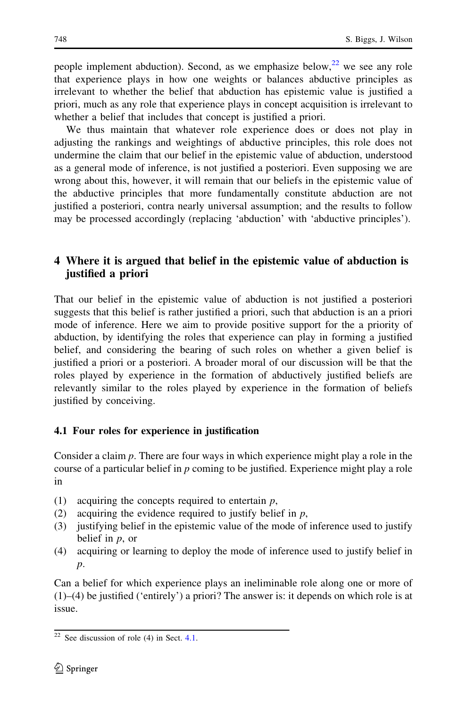<span id="page-13-0"></span>people implement abduction). Second, as we emphasize below, $22$  we see any role that experience plays in how one weights or balances abductive principles as irrelevant to whether the belief that abduction has epistemic value is justified a priori, much as any role that experience plays in concept acquisition is irrelevant to whether a belief that includes that concept is justified a priori.

We thus maintain that whatever role experience does or does not play in adjusting the rankings and weightings of abductive principles, this role does not undermine the claim that our belief in the epistemic value of abduction, understood as a general mode of inference, is not justified a posteriori. Even supposing we are wrong about this, however, it will remain that our beliefs in the epistemic value of the abductive principles that more fundamentally constitute abduction are not justified a posteriori, contra nearly universal assumption; and the results to follow may be processed accordingly (replacing 'abduction' with 'abductive principles').

# 4 Where it is argued that belief in the epistemic value of abduction is justified a priori

That our belief in the epistemic value of abduction is not justified a posteriori suggests that this belief is rather justified a priori, such that abduction is an a priori mode of inference. Here we aim to provide positive support for the a priority of abduction, by identifying the roles that experience can play in forming a justified belief, and considering the bearing of such roles on whether a given belief is justified a priori or a posteriori. A broader moral of our discussion will be that the roles played by experience in the formation of abductively justified beliefs are relevantly similar to the roles played by experience in the formation of beliefs justified by conceiving.

# 4.1 Four roles for experience in justification

Consider a claim p. There are four ways in which experience might play a role in the course of a particular belief in  $p$  coming to be justified. Experience might play a role in

- (1) acquiring the concepts required to entertain  $p$ ,
- (2) acquiring the evidence required to justify belief in  $p$ ,
- (3) justifying belief in the epistemic value of the mode of inference used to justify belief in  $p$ , or
- (4) acquiring or learning to deploy the mode of inference used to justify belief in p.

Can a belief for which experience plays an ineliminable role along one or more of (1)–(4) be justified ('entirely') a priori? The answer is: it depends on which role is at issue.

<sup>&</sup>lt;sup>22</sup> See discussion of role (4) in Sect.  $4.1$ .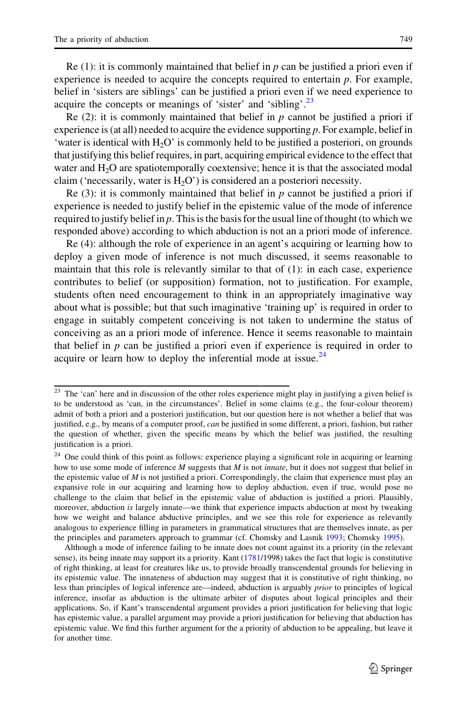Re  $(1)$ : it is commonly maintained that belief in p can be justified a priori even if experience is needed to acquire the concepts required to entertain  $p$ . For example, belief in 'sisters are siblings' can be justified a priori even if we need experience to acquire the concepts or meanings of 'sister' and 'sibling'.<sup>23</sup>

Re  $(2)$ : it is commonly maintained that belief in p cannot be justified a priori if experience is (at all) needed to acquire the evidence supporting  $p$ . For example, belief in 'water is identical with  $H_2O'$  is commonly held to be justified a posteriori, on grounds that justifying this belief requires, in part, acquiring empirical evidence to the effect that water and  $H<sub>2</sub>O$  are spatiotemporally coextensive; hence it is that the associated modal claim ('necessarily, water is  $H_2O'$ ) is considered an a posteriori necessity.

Re  $(3)$ : it is commonly maintained that belief in p cannot be justified a priori if experience is needed to justify belief in the epistemic value of the mode of inference required to justify belief in p. This is the basis for the usual line of thought (to which we responded above) according to which abduction is not an a priori mode of inference.

Re (4): although the role of experience in an agent's acquiring or learning how to deploy a given mode of inference is not much discussed, it seems reasonable to maintain that this role is relevantly similar to that of (1): in each case, experience contributes to belief (or supposition) formation, not to justification. For example, students often need encouragement to think in an appropriately imaginative way about what is possible; but that such imaginative 'training up' is required in order to engage in suitably competent conceiving is not taken to undermine the status of conceiving as an a priori mode of inference. Hence it seems reasonable to maintain that belief in  $p$  can be justified a priori even if experience is required in order to acquire or learn how to deploy the inferential mode at issue.<sup>24</sup>

 $23$  The 'can' here and in discussion of the other roles experience might play in justifying a given belief is to be understood as 'can, in the circumstances'. Belief in some claims (e.g., the four-colour theorem) admit of both a priori and a posteriori justification, but our question here is not whether a belief that was justified, e.g., by means of a computer proof, can be justified in some different, a priori, fashion, but rather the question of whether, given the specific means by which the belief was justified, the resulting justification is a priori.

<sup>&</sup>lt;sup>24</sup> One could think of this point as follows: experience playing a significant role in acquiring or learning how to use some mode of inference M suggests that M is not *innate*, but it does not suggest that belief in the epistemic value of  $M$  is not justified a priori. Correspondingly, the claim that experience must play an expansive role in our acquiring and learning how to deploy abduction, even if true, would pose no challenge to the claim that belief in the epistemic value of abduction is justified a priori. Plausibly, moreover, abduction is largely innate—we think that experience impacts abduction at most by tweaking how we weight and balance abductive principles, and we see this role for experience as relevantly analogous to experience filling in parameters in grammatical structures that are themselves innate, as per the principles and parameters approach to grammar (cf. Chomsky and Lasnik [1993;](#page-21-0) Chomsky [1995\)](#page-21-0).

Although a mode of inference failing to be innate does not count against its a priority (in the relevant sense), its being innate may support its a priority. Kant ([1781](#page-22-0)/1998) takes the fact that logic is constitutive of right thinking, at least for creatures like us, to provide broadly transcendental grounds for believing in its epistemic value. The innateness of abduction may suggest that it is constitutive of right thinking, no less than principles of logical inference are—indeed, abduction is arguably prior to principles of logical inference, insofar as abduction is the ultimate arbiter of disputes about logical principles and their applications. So, if Kant's transcendental argument provides a priori justification for believing that logic has epistemic value, a parallel argument may provide a priori justification for believing that abduction has epistemic value. We find this further argument for the a priority of abduction to be appealing, but leave it for another time.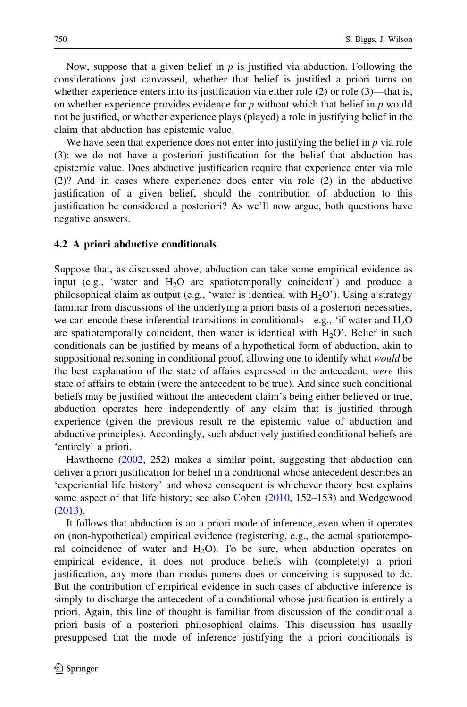Now, suppose that a given belief in  $p$  is justified via abduction. Following the considerations just canvassed, whether that belief is justified a priori turns on whether experience enters into its justification via either role  $(2)$  or role  $(3)$ —that is, on whether experience provides evidence for  $p$  without which that belief in  $p$  would not be justified, or whether experience plays (played) a role in justifying belief in the claim that abduction has epistemic value.

We have seen that experience does not enter into justifying the belief in  $p$  via role (3): we do not have a posteriori justification for the belief that abduction has epistemic value. Does abductive justification require that experience enter via role (2)? And in cases where experience does enter via role (2) in the abductive justification of a given belief, should the contribution of abduction to this justification be considered a posteriori? As we'll now argue, both questions have negative answers.

### 4.2 A priori abductive conditionals

Suppose that, as discussed above, abduction can take some empirical evidence as input (e.g., 'water and  $H_2O$  are spatiotemporally coincident') and produce a philosophical claim as output (e.g., 'water is identical with  $H_2O'$ ). Using a strategy familiar from discussions of the underlying a priori basis of a posteriori necessities, we can encode these inferential transitions in conditionals—e.g., 'if water and  $H_2O$ are spatiotemporally coincident, then water is identical with  $H_2O'$ . Belief in such conditionals can be justified by means of a hypothetical form of abduction, akin to suppositional reasoning in conditional proof, allowing one to identify what would be the best explanation of the state of affairs expressed in the antecedent, were this state of affairs to obtain (were the antecedent to be true). And since such conditional beliefs may be justified without the antecedent claim's being either believed or true, abduction operates here independently of any claim that is justified through experience (given the previous result re the epistemic value of abduction and abductive principles). Accordingly, such abductively justified conditional beliefs are 'entirely' a priori.

Hawthorne ([2002,](#page-22-0) 252) makes a similar point, suggesting that abduction can deliver a priori justification for belief in a conditional whose antecedent describes an 'experiential life history' and whose consequent is whichever theory best explains some aspect of that life history; see also Cohen ([2010,](#page-21-0) 152–153) and Wedgewood [\(2013](#page-23-0)).

It follows that abduction is an a priori mode of inference, even when it operates on (non-hypothetical) empirical evidence (registering, e.g., the actual spatiotemporal coincidence of water and  $H_2O$ . To be sure, when abduction operates on empirical evidence, it does not produce beliefs with (completely) a priori justification, any more than modus ponens does or conceiving is supposed to do. But the contribution of empirical evidence in such cases of abductive inference is simply to discharge the antecedent of a conditional whose justification is entirely a priori. Again, this line of thought is familiar from discussion of the conditional a priori basis of a posteriori philosophical claims. This discussion has usually presupposed that the mode of inference justifying the a priori conditionals is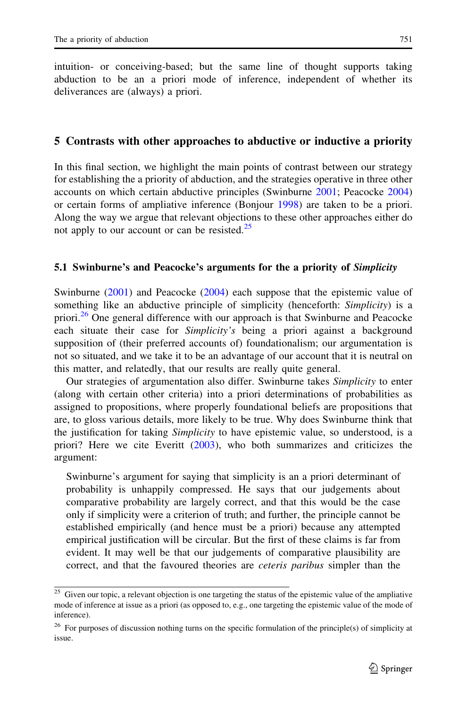<span id="page-16-0"></span>intuition- or conceiving-based; but the same line of thought supports taking abduction to be an a priori mode of inference, independent of whether its deliverances are (always) a priori.

# 5 Contrasts with other approaches to abductive or inductive a priority

In this final section, we highlight the main points of contrast between our strategy for establishing the a priority of abduction, and the strategies operative in three other accounts on which certain abductive principles (Swinburne [2001](#page-23-0); Peacocke [2004](#page-22-0)) or certain forms of ampliative inference (Bonjour [1998](#page-21-0)) are taken to be a priori. Along the way we argue that relevant objections to these other approaches either do not apply to our account or can be resisted. $25$ 

### 5.1 Swinburne's and Peacocke's arguments for the a priority of Simplicity

Swinburne [\(2001](#page-23-0)) and Peacocke ([2004\)](#page-22-0) each suppose that the epistemic value of something like an abductive principle of simplicity (henceforth: *Simplicity*) is a priori.<sup>26</sup> One general difference with our approach is that Swinburne and Peacocke each situate their case for Simplicity's being a priori against a background supposition of (their preferred accounts of) foundationalism; our argumentation is not so situated, and we take it to be an advantage of our account that it is neutral on this matter, and relatedly, that our results are really quite general.

Our strategies of argumentation also differ. Swinburne takes Simplicity to enter (along with certain other criteria) into a priori determinations of probabilities as assigned to propositions, where properly foundational beliefs are propositions that are, to gloss various details, more likely to be true. Why does Swinburne think that the justification for taking *Simplicity* to have epistemic value, so understood, is a priori? Here we cite Everitt ([2003\)](#page-22-0), who both summarizes and criticizes the argument:

Swinburne's argument for saying that simplicity is an a priori determinant of probability is unhappily compressed. He says that our judgements about comparative probability are largely correct, and that this would be the case only if simplicity were a criterion of truth; and further, the principle cannot be established empirically (and hence must be a priori) because any attempted empirical justification will be circular. But the first of these claims is far from evident. It may well be that our judgements of comparative plausibility are correct, and that the favoured theories are ceteris paribus simpler than the

<sup>&</sup>lt;sup>25</sup> Given our topic, a relevant objection is one targeting the status of the epistemic value of the ampliative mode of inference at issue as a priori (as opposed to, e.g., one targeting the epistemic value of the mode of inference).

<sup>&</sup>lt;sup>26</sup> For purposes of discussion nothing turns on the specific formulation of the principle(s) of simplicity at issue.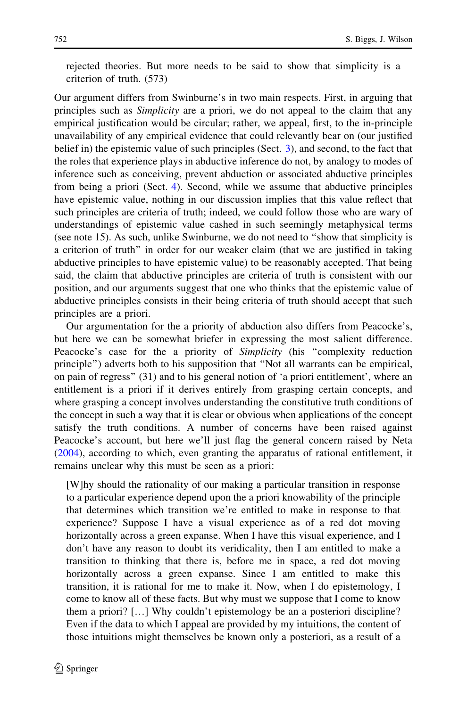rejected theories. But more needs to be said to show that simplicity is a criterion of truth. (573)

Our argument differs from Swinburne's in two main respects. First, in arguing that principles such as Simplicity are a priori, we do not appeal to the claim that any empirical justification would be circular; rather, we appeal, first, to the in-principle unavailability of any empirical evidence that could relevantly bear on (our justified belief in) the epistemic value of such principles (Sect. [3\)](#page-6-0), and second, to the fact that the roles that experience plays in abductive inference do not, by analogy to modes of inference such as conceiving, prevent abduction or associated abductive principles from being a priori (Sect. [4](#page-13-0)). Second, while we assume that abductive principles have epistemic value, nothing in our discussion implies that this value reflect that such principles are criteria of truth; indeed, we could follow those who are wary of understandings of epistemic value cashed in such seemingly metaphysical terms (see note 15). As such, unlike Swinburne, we do not need to ''show that simplicity is a criterion of truth'' in order for our weaker claim (that we are justified in taking abductive principles to have epistemic value) to be reasonably accepted. That being said, the claim that abductive principles are criteria of truth is consistent with our position, and our arguments suggest that one who thinks that the epistemic value of abductive principles consists in their being criteria of truth should accept that such principles are a priori.

Our argumentation for the a priority of abduction also differs from Peacocke's, but here we can be somewhat briefer in expressing the most salient difference. Peacocke's case for the a priority of Simplicity (his ''complexity reduction principle'') adverts both to his supposition that ''Not all warrants can be empirical, on pain of regress'' (31) and to his general notion of 'a priori entitlement', where an entitlement is a priori if it derives entirely from grasping certain concepts, and where grasping a concept involves understanding the constitutive truth conditions of the concept in such a way that it is clear or obvious when applications of the concept satisfy the truth conditions. A number of concerns have been raised against Peacocke's account, but here we'll just flag the general concern raised by Neta [\(2004](#page-22-0)), according to which, even granting the apparatus of rational entitlement, it remains unclear why this must be seen as a priori:

[W]hy should the rationality of our making a particular transition in response to a particular experience depend upon the a priori knowability of the principle that determines which transition we're entitled to make in response to that experience? Suppose I have a visual experience as of a red dot moving horizontally across a green expanse. When I have this visual experience, and I don't have any reason to doubt its veridicality, then I am entitled to make a transition to thinking that there is, before me in space, a red dot moving horizontally across a green expanse. Since I am entitled to make this transition, it is rational for me to make it. Now, when I do epistemology, I come to know all of these facts. But why must we suppose that I come to know them a priori? […] Why couldn't epistemology be an a posteriori discipline? Even if the data to which I appeal are provided by my intuitions, the content of those intuitions might themselves be known only a posteriori, as a result of a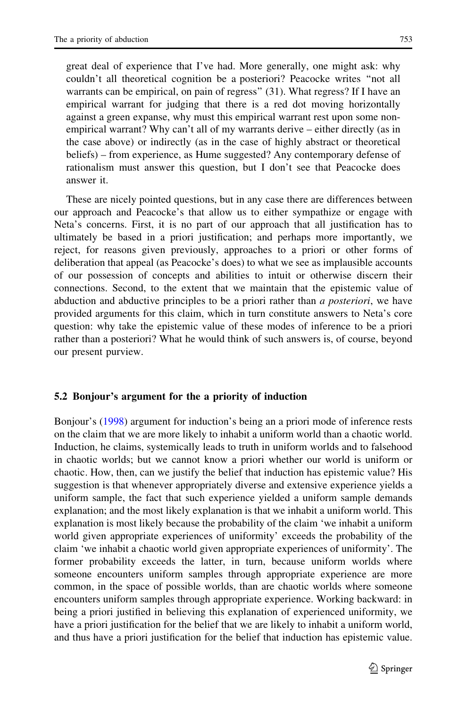great deal of experience that I've had. More generally, one might ask: why couldn't all theoretical cognition be a posteriori? Peacocke writes ''not all warrants can be empirical, on pain of regress" (31). What regress? If I have an empirical warrant for judging that there is a red dot moving horizontally against a green expanse, why must this empirical warrant rest upon some nonempirical warrant? Why can't all of my warrants derive – either directly (as in the case above) or indirectly (as in the case of highly abstract or theoretical beliefs) – from experience, as Hume suggested? Any contemporary defense of rationalism must answer this question, but I don't see that Peacocke does answer it.

These are nicely pointed questions, but in any case there are differences between our approach and Peacocke's that allow us to either sympathize or engage with Neta's concerns. First, it is no part of our approach that all justification has to ultimately be based in a priori justification; and perhaps more importantly, we reject, for reasons given previously, approaches to a priori or other forms of deliberation that appeal (as Peacocke's does) to what we see as implausible accounts of our possession of concepts and abilities to intuit or otherwise discern their connections. Second, to the extent that we maintain that the epistemic value of abduction and abductive principles to be a priori rather than a posteriori, we have provided arguments for this claim, which in turn constitute answers to Neta's core question: why take the epistemic value of these modes of inference to be a priori rather than a posteriori? What he would think of such answers is, of course, beyond our present purview.

### 5.2 Bonjour's argument for the a priority of induction

Bonjour's ([1998\)](#page-21-0) argument for induction's being an a priori mode of inference rests on the claim that we are more likely to inhabit a uniform world than a chaotic world. Induction, he claims, systemically leads to truth in uniform worlds and to falsehood in chaotic worlds; but we cannot know a priori whether our world is uniform or chaotic. How, then, can we justify the belief that induction has epistemic value? His suggestion is that whenever appropriately diverse and extensive experience yields a uniform sample, the fact that such experience yielded a uniform sample demands explanation; and the most likely explanation is that we inhabit a uniform world. This explanation is most likely because the probability of the claim 'we inhabit a uniform world given appropriate experiences of uniformity' exceeds the probability of the claim 'we inhabit a chaotic world given appropriate experiences of uniformity'. The former probability exceeds the latter, in turn, because uniform worlds where someone encounters uniform samples through appropriate experience are more common, in the space of possible worlds, than are chaotic worlds where someone encounters uniform samples through appropriate experience. Working backward: in being a priori justified in believing this explanation of experienced uniformity, we have a priori justification for the belief that we are likely to inhabit a uniform world, and thus have a priori justification for the belief that induction has epistemic value.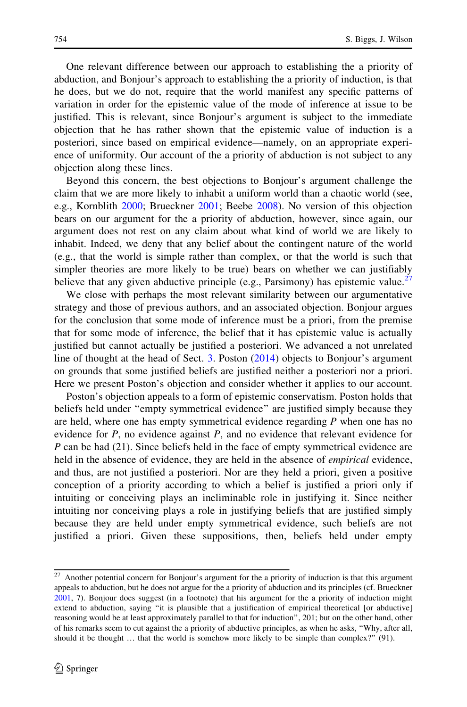One relevant difference between our approach to establishing the a priority of abduction, and Bonjour's approach to establishing the a priority of induction, is that he does, but we do not, require that the world manifest any specific patterns of variation in order for the epistemic value of the mode of inference at issue to be justified. This is relevant, since Bonjour's argument is subject to the immediate objection that he has rather shown that the epistemic value of induction is a posteriori, since based on empirical evidence—namely, on an appropriate experience of uniformity. Our account of the a priority of abduction is not subject to any objection along these lines.

Beyond this concern, the best objections to Bonjour's argument challenge the claim that we are more likely to inhabit a uniform world than a chaotic world (see, e.g., Kornblith [2000](#page-22-0); Brueckner [2001](#page-21-0); Beebe [2008\)](#page-21-0). No version of this objection bears on our argument for the a priority of abduction, however, since again, our argument does not rest on any claim about what kind of world we are likely to inhabit. Indeed, we deny that any belief about the contingent nature of the world (e.g., that the world is simple rather than complex, or that the world is such that simpler theories are more likely to be true) bears on whether we can justifiably believe that any given abductive principle (e.g., Parsimony) has epistemic value.<sup>27</sup>

We close with perhaps the most relevant similarity between our argumentative strategy and those of previous authors, and an associated objection. Bonjour argues for the conclusion that some mode of inference must be a priori, from the premise that for some mode of inference, the belief that it has epistemic value is actually justified but cannot actually be justified a posteriori. We advanced a not unrelated line of thought at the head of Sect. [3](#page-6-0). Poston [\(2014](#page-22-0)) objects to Bonjour's argument on grounds that some justified beliefs are justified neither a posteriori nor a priori. Here we present Poston's objection and consider whether it applies to our account.

Poston's objection appeals to a form of epistemic conservatism. Poston holds that beliefs held under "empty symmetrical evidence" are justified simply because they are held, where one has empty symmetrical evidence regarding P when one has no evidence for  $P$ , no evidence against  $P$ , and no evidence that relevant evidence for  $P$  can be had (21). Since beliefs held in the face of empty symmetrical evidence are held in the absence of evidence, they are held in the absence of *empirical* evidence, and thus, are not justified a posteriori. Nor are they held a priori, given a positive conception of a priority according to which a belief is justified a priori only if intuiting or conceiving plays an ineliminable role in justifying it. Since neither intuiting nor conceiving plays a role in justifying beliefs that are justified simply because they are held under empty symmetrical evidence, such beliefs are not justified a priori. Given these suppositions, then, beliefs held under empty

 $27$  Another potential concern for Bonjour's argument for the a priority of induction is that this argument appeals to abduction, but he does not argue for the a priority of abduction and its principles (cf. Brueckner [2001,](#page-21-0) 7). Bonjour does suggest (in a footnote) that his argument for the a priority of induction might extend to abduction, saying "it is plausible that a justification of empirical theoretical [or abductive] reasoning would be at least approximately parallel to that for induction'', 201; but on the other hand, other of his remarks seem to cut against the a priority of abductive principles, as when he asks, ''Why, after all, should it be thought … that the world is somehow more likely to be simple than complex?'' (91).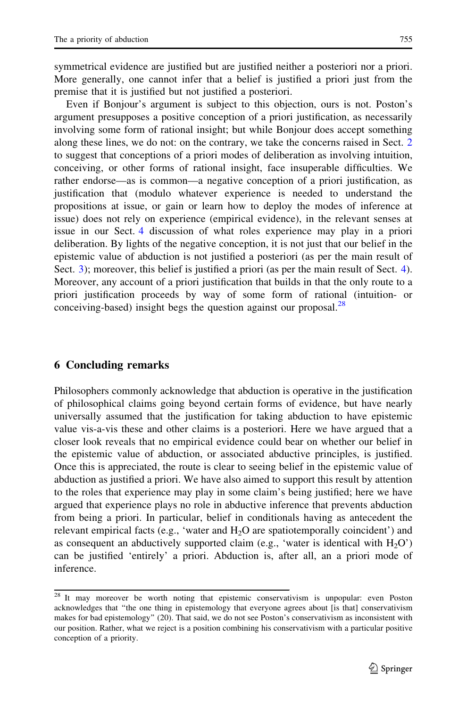symmetrical evidence are justified but are justified neither a posteriori nor a priori. More generally, one cannot infer that a belief is justified a priori just from the premise that it is justified but not justified a posteriori.

Even if Bonjour's argument is subject to this objection, ours is not. Poston's argument presupposes a positive conception of a priori justification, as necessarily involving some form of rational insight; but while Bonjour does accept something along these lines, we do not: on the contrary, we take the concerns raised in Sect. [2](#page-2-0) to suggest that conceptions of a priori modes of deliberation as involving intuition, conceiving, or other forms of rational insight, face insuperable difficulties. We rather endorse—as is common—a negative conception of a priori justification, as justification that (modulo whatever experience is needed to understand the propositions at issue, or gain or learn how to deploy the modes of inference at issue) does not rely on experience (empirical evidence), in the relevant senses at issue in our Sect. [4](#page-13-0) discussion of what roles experience may play in a priori deliberation. By lights of the negative conception, it is not just that our belief in the epistemic value of abduction is not justified a posteriori (as per the main result of Sect. [3](#page-6-0)); moreover, this belief is justified a priori (as per the main result of Sect. [4\)](#page-13-0). Moreover, any account of a priori justification that builds in that the only route to a priori justification proceeds by way of some form of rational (intuition- or conceiving-based) insight begs the question against our proposal.<sup>28</sup>

### 6 Concluding remarks

Philosophers commonly acknowledge that abduction is operative in the justification of philosophical claims going beyond certain forms of evidence, but have nearly universally assumed that the justification for taking abduction to have epistemic value vis-a-vis these and other claims is a posteriori. Here we have argued that a closer look reveals that no empirical evidence could bear on whether our belief in the epistemic value of abduction, or associated abductive principles, is justified. Once this is appreciated, the route is clear to seeing belief in the epistemic value of abduction as justified a priori. We have also aimed to support this result by attention to the roles that experience may play in some claim's being justified; here we have argued that experience plays no role in abductive inference that prevents abduction from being a priori. In particular, belief in conditionals having as antecedent the relevant empirical facts (e.g., 'water and  $H_2O$  are spatiotemporally coincident') and as consequent an abductively supported claim (e.g., 'water is identical with  $H_2O'$ ) can be justified 'entirely' a priori. Abduction is, after all, an a priori mode of inference.

<sup>&</sup>lt;sup>28</sup> It may moreover be worth noting that epistemic conservativism is unpopular: even Poston acknowledges that ''the one thing in epistemology that everyone agrees about [is that] conservativism makes for bad epistemology'' (20). That said, we do not see Poston's conservativism as inconsistent with our position. Rather, what we reject is a position combining his conservativism with a particular positive conception of a priority.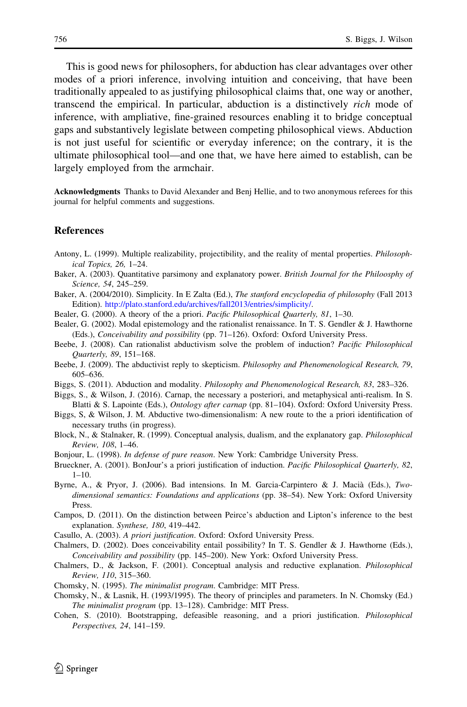<span id="page-21-0"></span>This is good news for philosophers, for abduction has clear advantages over other modes of a priori inference, involving intuition and conceiving, that have been traditionally appealed to as justifying philosophical claims that, one way or another, transcend the empirical. In particular, abduction is a distinctively rich mode of inference, with ampliative, fine-grained resources enabling it to bridge conceptual gaps and substantively legislate between competing philosophical views. Abduction is not just useful for scientific or everyday inference; on the contrary, it is the ultimate philosophical tool—and one that, we have here aimed to establish, can be largely employed from the armchair.

Acknowledgments Thanks to David Alexander and Benj Hellie, and to two anonymous referees for this journal for helpful comments and suggestions.

#### **References**

- Antony, L. (1999). Multiple realizability, projectibility, and the reality of mental properties. Philosophical Topics, 26, 1–24.
- Baker, A. (2003). Quantitative parsimony and explanatory power. British Journal for the Philoosphy of Science, 54, 245–259.
- Baker, A. (2004/2010). Simplicity. In E Zalta (Ed.), The stanford encyclopedia of philosophy (Fall 2013 Edition). <http://plato.stanford.edu/archives/fall2013/entries/simplicity/>.
- Bealer, G. (2000). A theory of the a priori. *Pacific Philosophical Quarterly*, 81, 1–30.
- Bealer, G. (2002). Modal epistemology and the rationalist renaissance. In T. S. Gendler & J. Hawthorne (Eds.), Conceivability and possibility (pp. 71–126). Oxford: Oxford University Press.
- Beebe, J. (2008). Can rationalist abductivism solve the problem of induction? Pacific Philosophical Quarterly, 89, 151–168.
- Beebe, J. (2009). The abductivist reply to skepticism. Philosophy and Phenomenological Research, 79, 605–636.
- Biggs, S. (2011). Abduction and modality. Philosophy and Phenomenological Research, 83, 283–326.
- Biggs, S., & Wilson, J. (2016). Carnap, the necessary a posteriori, and metaphysical anti-realism. In S. Blatti & S. Lapointe (Eds.), Ontology after carnap (pp. 81–104). Oxford: Oxford University Press.
- Biggs, S, & Wilson, J. M. Abductive two-dimensionalism: A new route to the a priori identification of necessary truths (in progress).
- Block, N., & Stalnaker, R. (1999). Conceptual analysis, dualism, and the explanatory gap. Philosophical Review, 108, 1–46.
- Bonjour, L. (1998). In defense of pure reason. New York: Cambridge University Press.
- Brueckner, A. (2001). BonJour's a priori justification of induction. Pacific Philosophical Quarterly, 82, 1–10.
- Byrne, A., & Pryor, J. (2006). Bad intensions. In M. Garcia-Carpintero & J. Macià (Eds.), Twodimensional semantics: Foundations and applications (pp. 38–54). New York: Oxford University Press.
- Campos, D. (2011). On the distinction between Peirce's abduction and Lipton's inference to the best explanation. Synthese, 180, 419–442.
- Casullo, A. (2003). A priori justification. Oxford: Oxford University Press.
- Chalmers, D. (2002). Does conceivability entail possibility? In T. S. Gendler & J. Hawthorne (Eds.), Conceivability and possibility (pp. 145–200). New York: Oxford University Press.
- Chalmers, D., & Jackson, F. (2001). Conceptual analysis and reductive explanation. Philosophical Review, 110, 315–360.
- Chomsky, N. (1995). The minimalist program. Cambridge: MIT Press.
- Chomsky, N., & Lasnik, H. (1993/1995). The theory of principles and parameters. In N. Chomsky (Ed.) The minimalist program (pp. 13–128). Cambridge: MIT Press.
- Cohen, S. (2010). Bootstrapping, defeasible reasoning, and a priori justification. Philosophical Perspectives, 24, 141–159.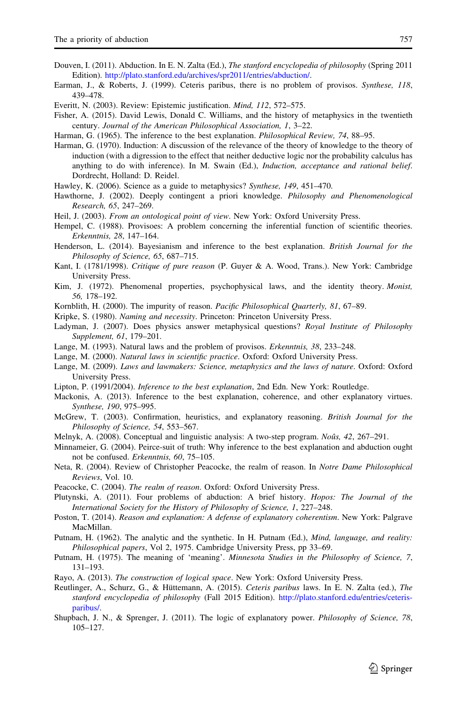- <span id="page-22-0"></span>Douven, I. (2011). Abduction. In E. N. Zalta (Ed.), The stanford encyclopedia of philosophy (Spring 2011 Edition). [http://plato.stanford.edu/archives/spr2011/entries/abduction/.](http://plato.stanford.edu/archives/spr2011/entries/abduction/)
- Earman, J., & Roberts, J. (1999). Ceteris paribus, there is no problem of provisos. Synthese, 118, 439–478.
- Everitt, N. (2003). Review: Epistemic justification. Mind, 112, 572–575.
- Fisher, A. (2015). David Lewis, Donald C. Williams, and the history of metaphysics in the twentieth century. Journal of the American Philosophical Association, 1, 3–22.
- Harman, G. (1965). The inference to the best explanation. *Philosophical Review*, 74, 88–95.
- Harman, G. (1970). Induction: A discussion of the relevance of the theory of knowledge to the theory of induction (with a digression to the effect that neither deductive logic nor the probability calculus has anything to do with inference). In M. Swain (Ed.), Induction, acceptance and rational belief. Dordrecht, Holland: D. Reidel.
- Hawley, K. (2006). Science as a guide to metaphysics? Synthese, 149, 451–470.
- Hawthorne, J. (2002). Deeply contingent a priori knowledge. Philosophy and Phenomenological Research, 65, 247–269.
- Heil, J. (2003). From an ontological point of view. New York: Oxford University Press.
- Hempel, C. (1988). Provisoes: A problem concerning the inferential function of scientific theories. Erkenntnis, 28, 147–164.
- Henderson, L. (2014). Bayesianism and inference to the best explanation. British Journal for the Philosophy of Science, 65, 687–715.
- Kant, I. (1781/1998). Critique of pure reason (P. Guyer & A. Wood, Trans.). New York: Cambridge University Press.
- Kim, J. (1972). Phenomenal properties, psychophysical laws, and the identity theory. Monist, 56, 178–192.
- Kornblith, H. (2000). The impurity of reason. Pacific Philosophical Quarterly, 81, 67–89.
- Kripke, S. (1980). Naming and necessity. Princeton: Princeton University Press.
- Ladyman, J. (2007). Does physics answer metaphysical questions? Royal Institute of Philosophy Supplement, 61, 179–201.
- Lange, M. (1993). Natural laws and the problem of provisos. Erkenntnis, 38, 233–248.
- Lange, M. (2000). Natural laws in scientific practice. Oxford: Oxford University Press.
- Lange, M. (2009). Laws and lawmakers: Science, metaphysics and the laws of nature. Oxford: Oxford University Press.
- Lipton, P. (1991/2004). Inference to the best explanation, 2nd Edn. New York: Routledge.
- Mackonis, A. (2013). Inference to the best explanation, coherence, and other explanatory virtues. Synthese, 190, 975–995.
- McGrew, T. (2003). Confirmation, heuristics, and explanatory reasoning. British Journal for the Philosophy of Science, 54, 553–567.
- Melnyk, A. (2008). Conceptual and linguistic analysis: A two-step program. *Noûs*, 42, 267–291.
- Minnameier, G. (2004). Peirce-suit of truth: Why inference to the best explanation and abduction ought not be confused. Erkenntnis, 60, 75–105.
- Neta, R. (2004). Review of Christopher Peacocke, the realm of reason. In Notre Dame Philosophical Reviews, Vol. 10.
- Peacocke, C. (2004). The realm of reason. Oxford: Oxford University Press.
- Plutynski, A. (2011). Four problems of abduction: A brief history. Hopos: The Journal of the International Society for the History of Philosophy of Science, 1, 227–248.
- Poston, T. (2014). Reason and explanation: A defense of explanatory coherentism. New York: Palgrave MacMillan.
- Putnam, H. (1962). The analytic and the synthetic. In H. Putnam (Ed.), *Mind, language, and reality:* Philosophical papers, Vol 2, 1975. Cambridge University Press, pp 33–69.
- Putnam, H. (1975). The meaning of 'meaning'. Minnesota Studies in the Philosophy of Science, 7, 131–193.
- Rayo, A. (2013). The construction of logical space. New York: Oxford University Press.
- Reutlinger, A., Schurz, G., & Hüttemann, A. (2015). Ceteris paribus laws. In E. N. Zalta (ed.), The stanford encyclopedia of philosophy (Fall 2015 Edition). [http://plato.stanford.edu/entries/ceteris](http://plato.stanford.edu/entries/ceteris-paribus/)[paribus/.](http://plato.stanford.edu/entries/ceteris-paribus/)
- Shupbach, J. N., & Sprenger, J. (2011). The logic of explanatory power. Philosophy of Science, 78, 105–127.